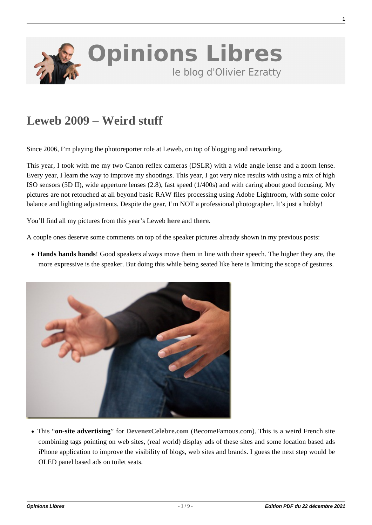

## **[Leweb 2009 – Weird stuff](https://www.oezratty.net/wordpress/2009/leweb-2009-weird-stuff/)**

Since 2006, I'm playing the photoreporter role at Leweb, on top of blogging and networking.

This year, I took with me my two Canon reflex cameras (DSLR) with a wide angle lense and a zoom lense. Every year, I learn the way to improve my shootings. This year, I got very nice results with using a mix of high ISO sensors (5D II), wide apperture lenses (2.8), fast speed (1/400s) and with caring about good focusing. My pictures are not retouched at all beyond basic RAW files processing using Adobe Lightroom, with some color balance and lighting adjustments. Despite the gear, I'm NOT a professional photographer. It's just a hobby!

You'll find all my pictures from this year's Leweb **[here](https://www.oezratty.net/wordpress/photos/?g=2009&a=LeWeb%20and%20Traveling%20Geeks%20Dec2009)** and **[there](http://picasaweb.google.fr/Olivier.Ezratty/LeWebAndTravelingGeeksDay5#)**.

A couple ones deserve some comments on top of the speaker pictures already shown in my previous posts:

**Hands hands hands**! Good speakers always move them in line with their speech. The higher they are, the more expressive is the speaker. But doing this while being seated like here is limiting the scope of gestures.



This "**on-site advertising**" for **[DevenezCelebre.com](http://www.devenezcelebre.com)** (BecomeFamous.com). This is a weird French site combining tags pointing on web sites, (real world) display ads of these sites and some location based ads iPhone application to improve the visibility of blogs, web sites and brands. I guess the next step would be OLED panel based ads on toilet seats.

**1**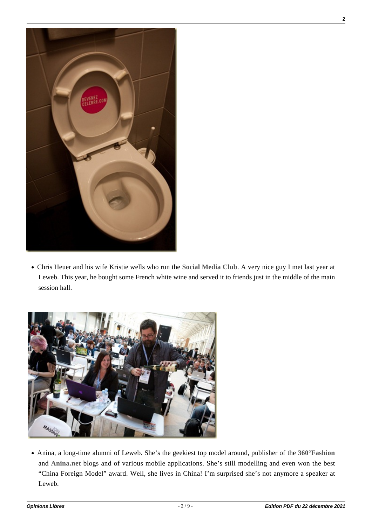

Chris Heuer and his wife Kristie wells who run the **[Social Media Club](http://www.socialmediaclub.org/)**. A very nice guy I met last year at Leweb. This year, he bought some French white wine and served it to friends just in the middle of the main session hall.



Anina, a long-time alumni of Leweb. She's the geekiest top model around, publisher of the **[360°Fashion](http://www.360fashion.net/)** and **[Anina.net](http://www.anina.typepad.com/)** blogs and of various mobile applications. She's still modelling and even won the best "China Foreign Model" award. Well, she lives in China! I'm surprised she's not anymore a speaker at Leweb.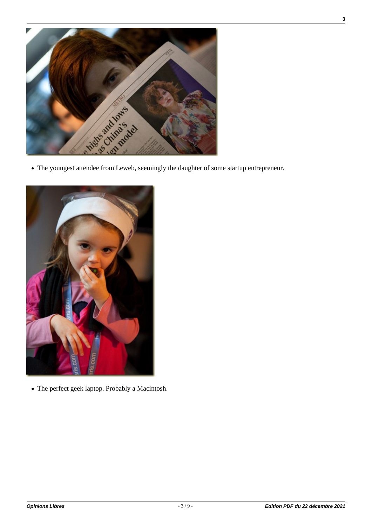



The perfect geek laptop. Probably a Macintosh.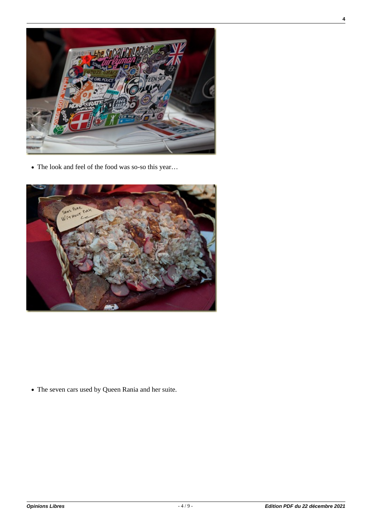

The look and feel of the food was so-so this year…



The seven cars used by Queen Rania and her suite.

**4**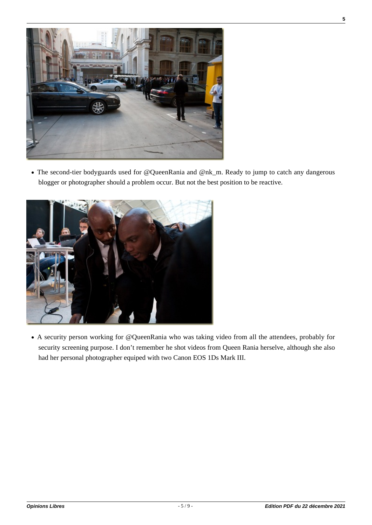

The second-tier bodyguards used for @QueenRania and @nk\_m. Ready to jump to catch any dangerous blogger or photographer should a problem occur. But not the best position to be reactive.



A security person working for @QueenRania who was taking video from all the attendees, probably for security screening purpose. I don't remember he shot videos from Queen Rania herselve, although she also had her personal photographer equiped with two Canon EOS 1Ds Mark III.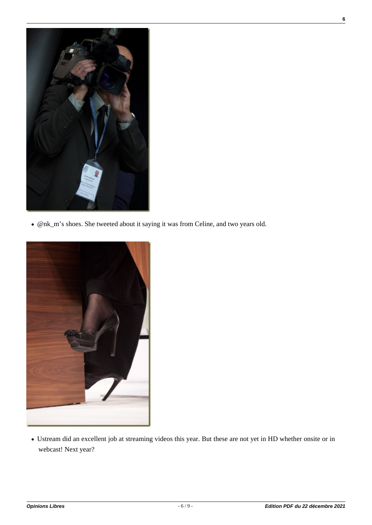

@nk\_m's shoes. She tweeted about it saying it was from Celine, and two years old.



Ustream did an excellent job at streaming videos this year. But these are not yet in HD whether onsite or in webcast! Next year?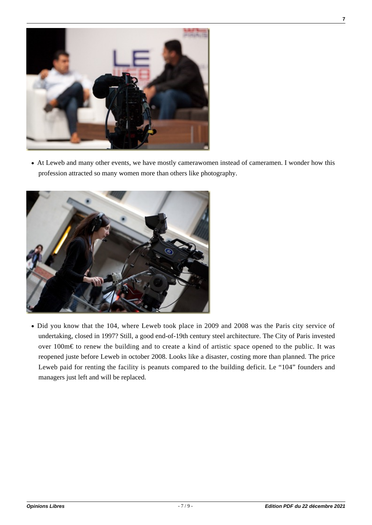

At Leweb and many other events, we have mostly camerawomen instead of cameramen. I wonder how this profession attracted so many women more than others like photography.



• Did you know that the 104, where Leweb took place in 2009 and 2008 was the Paris city service of undertaking, closed in 1997? Still, a good end-of-19th century steel architecture. The City of Paris invested over 100m€ to renew the building and to create a kind of artistic space opened to the public. It was reopened juste before Leweb in october 2008. Looks like a disaster, costing more than planned. The price Leweb paid for renting the facility is peanuts compared to the building deficit. Le "104" founders and managers just left and will be replaced.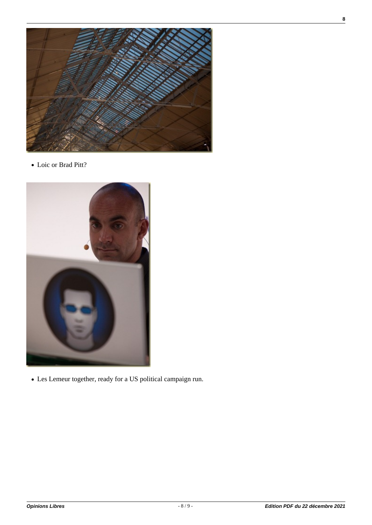

Loic or Brad Pitt?



Les Lemeur together, ready for a US political campaign run.